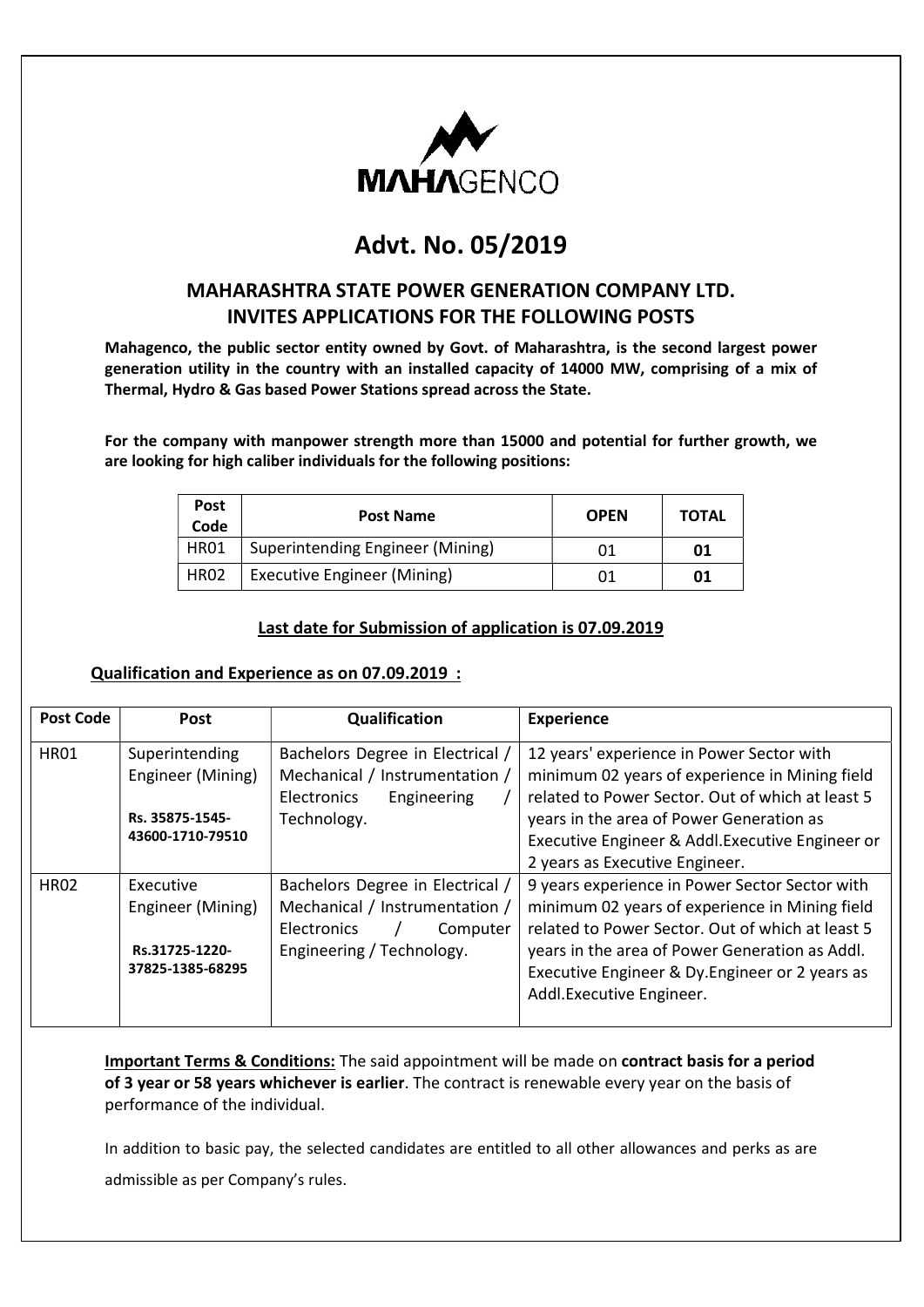

# Advt. No. 05/2019

### MAHARASHTRA STATE POWER GENERATION COMPANY LTD. INVITES APPLICATIONS FOR THE FOLLOWING POSTS

Mahagenco, the public sector entity owned by Govt. of Maharashtra, is the second largest power generation utility in the country with an installed capacity of 14000 MW, comprising of a mix of Thermal, Hydro & Gas based Power Stations spread across the State.

For the company with manpower strength more than 15000 and potential for further growth, we are looking for high caliber individuals for the following positions:

| <b>Post</b><br>Code | <b>Post Name</b>                   | <b>OPEN</b> | <b>TOTAL</b> |
|---------------------|------------------------------------|-------------|--------------|
| HR01                | Superintending Engineer (Mining)   | 01          | 01           |
| <b>HR02</b>         | <b>Executive Engineer (Mining)</b> | 01          | 01           |

#### Last date for Submission of application is 07.09.2019

#### Qualification and Experience as on 07.09.2019 :

| Post Code   | <b>Post</b>                                                                | Qualification                                                                                                              | <b>Experience</b>                                                                                                                                                                                                                                                                     |
|-------------|----------------------------------------------------------------------------|----------------------------------------------------------------------------------------------------------------------------|---------------------------------------------------------------------------------------------------------------------------------------------------------------------------------------------------------------------------------------------------------------------------------------|
| <b>HR01</b> | Superintending<br>Engineer (Mining)<br>Rs. 35875-1545-<br>43600-1710-79510 | Bachelors Degree in Electrical /<br>Mechanical / Instrumentation /<br><b>Electronics</b><br>Engineering<br>Technology.     | 12 years' experience in Power Sector with<br>minimum 02 years of experience in Mining field<br>related to Power Sector. Out of which at least 5<br>years in the area of Power Generation as<br>Executive Engineer & Addl. Executive Engineer or<br>2 years as Executive Engineer.     |
| <b>HR02</b> | Executive<br>Engineer (Mining)<br>Rs.31725-1220-<br>37825-1385-68295       | Bachelors Degree in Electrical /<br>Mechanical / Instrumentation /<br>Electronics<br>Computer<br>Engineering / Technology. | 9 years experience in Power Sector Sector with<br>minimum 02 years of experience in Mining field<br>related to Power Sector. Out of which at least 5<br>years in the area of Power Generation as Addl.<br>Executive Engineer & Dy. Engineer or 2 years as<br>Addl.Executive Engineer. |

Important Terms & Conditions: The said appointment will be made on contract basis for a period of 3 year or 58 years whichever is earlier. The contract is renewable every year on the basis of performance of the individual.

In addition to basic pay, the selected candidates are entitled to all other allowances and perks as are admissible as per Company's rules.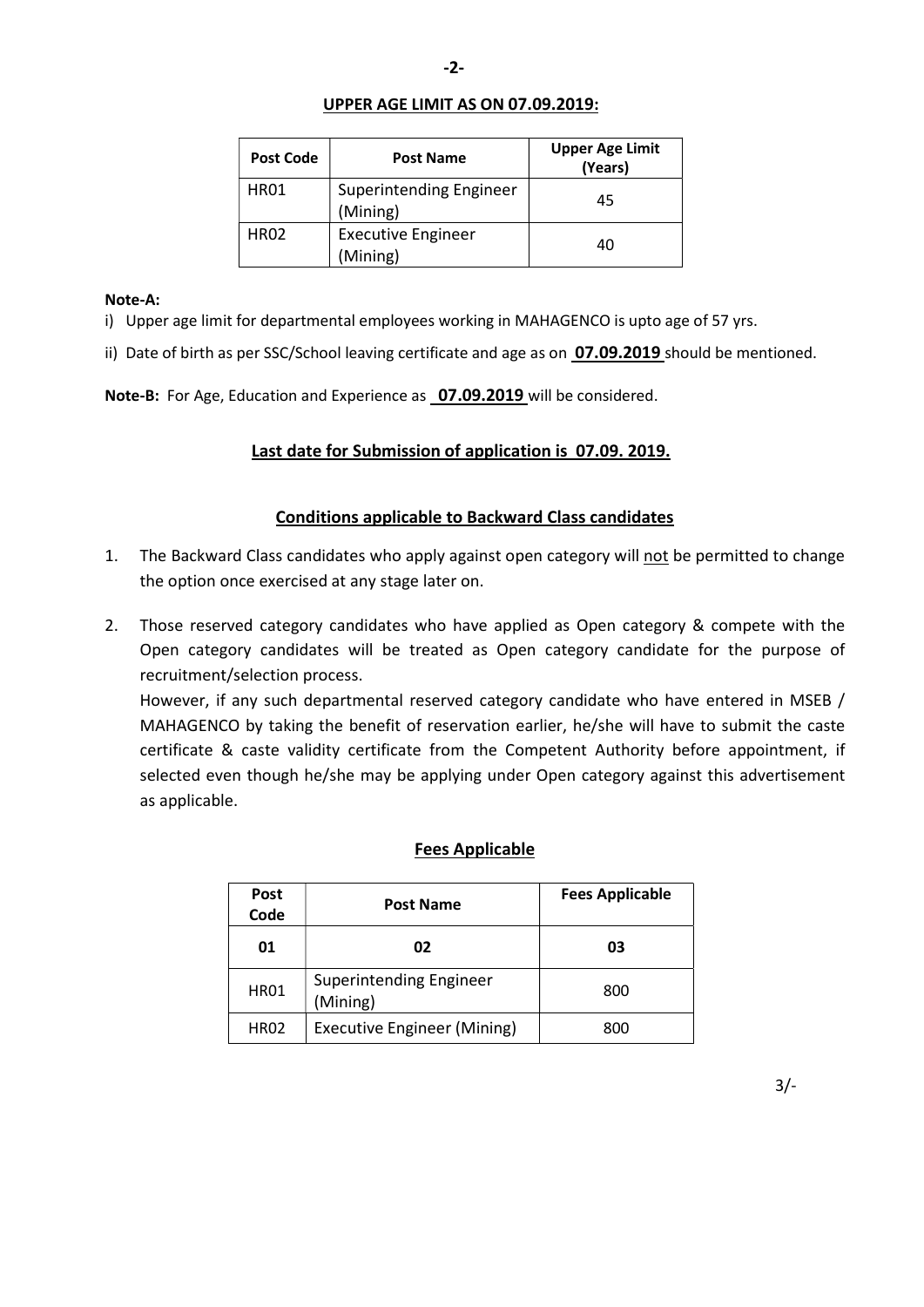#### UPPER AGE LIMIT AS ON 07.09.2019:

| <b>Post Code</b> | <b>Post Name</b>                           | <b>Upper Age Limit</b><br>(Years) |
|------------------|--------------------------------------------|-----------------------------------|
| <b>HR01</b>      | <b>Superintending Engineer</b><br>(Mining) | 45                                |
| <b>HR02</b>      | <b>Executive Engineer</b><br>(Mining)      | 40                                |

#### Note-A:

- i) Upper age limit for departmental employees working in MAHAGENCO is upto age of 57 yrs.
- ii) Date of birth as per SSC/School leaving certificate and age as on 07.09.2019 should be mentioned.

Note-B: For Age, Education and Experience as 07.09.2019 will be considered.

### Last date for Submission of application is 07.09. 2019.

#### Conditions applicable to Backward Class candidates

- 1. The Backward Class candidates who apply against open category will not be permitted to change the option once exercised at any stage later on.
- 2. Those reserved category candidates who have applied as Open category & compete with the Open category candidates will be treated as Open category candidate for the purpose of recruitment/selection process.

 However, if any such departmental reserved category candidate who have entered in MSEB / MAHAGENCO by taking the benefit of reservation earlier, he/she will have to submit the caste certificate & caste validity certificate from the Competent Authority before appointment, if selected even though he/she may be applying under Open category against this advertisement as applicable.

#### Fees Applicable

| <b>Post</b><br>Code | <b>Post Name</b>                    | <b>Fees Applicable</b> |
|---------------------|-------------------------------------|------------------------|
| 01                  | 02                                  | 03                     |
| <b>HR01</b>         | Superintending Engineer<br>(Mining) | 800                    |
| <b>HR02</b>         | Executive Engineer (Mining)         | 800                    |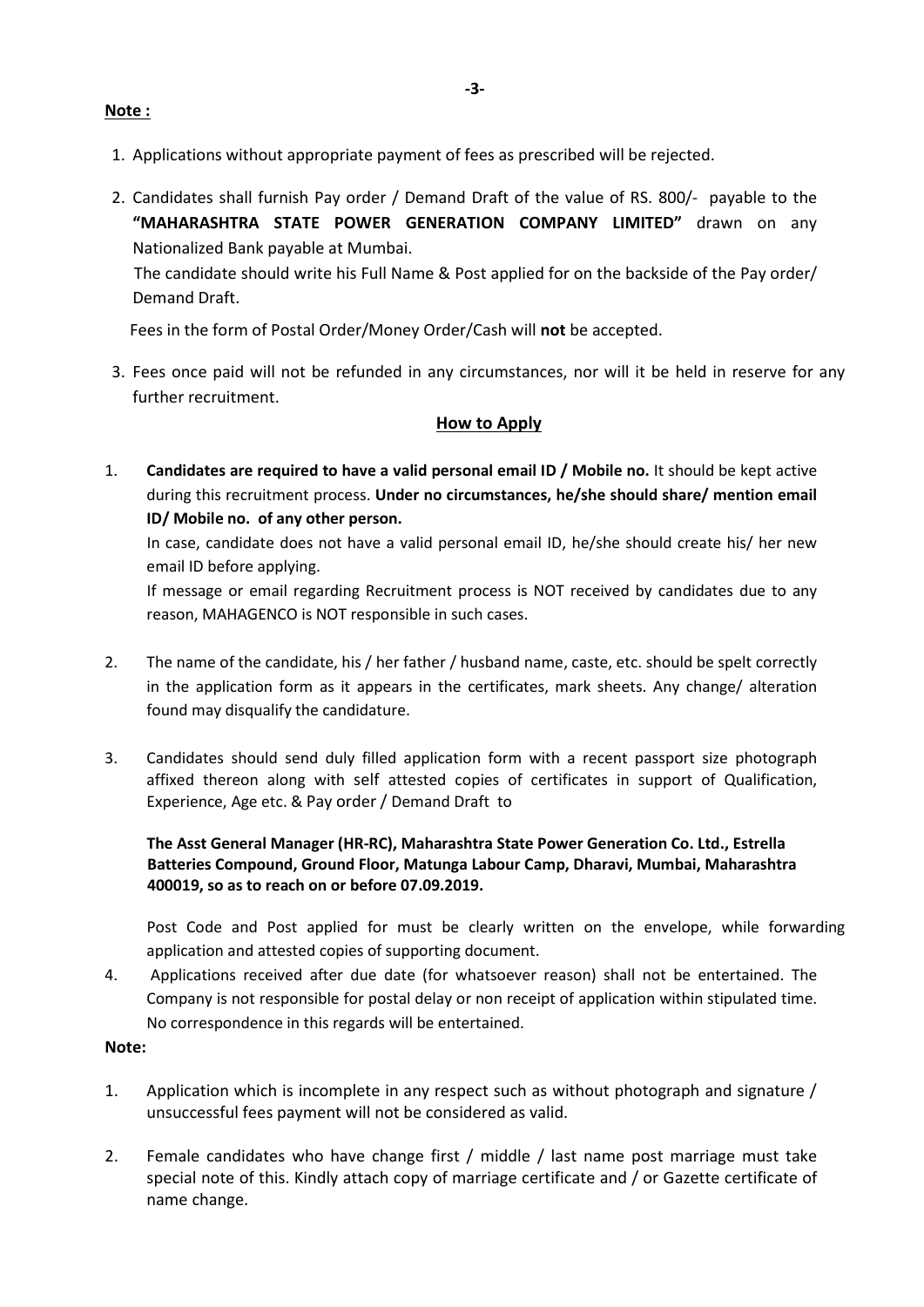- 1. Applications without appropriate payment of fees as prescribed will be rejected.
- 2. Candidates shall furnish Pay order / Demand Draft of the value of RS. 800/- payable to the "MAHARASHTRA STATE POWER GENERATION COMPANY LIMITED" drawn on any Nationalized Bank payable at Mumbai.

 The candidate should write his Full Name & Post applied for on the backside of the Pay order/ Demand Draft.

Fees in the form of Postal Order/Money Order/Cash will not be accepted.

3. Fees once paid will not be refunded in any circumstances, nor will it be held in reserve for any further recruitment.

#### How to Apply

1. Candidates are required to have a valid personal email ID / Mobile no. It should be kept active during this recruitment process. Under no circumstances, he/she should share/ mention email ID/ Mobile no. of any other person.

 In case, candidate does not have a valid personal email ID, he/she should create his/ her new email ID before applying.

 If message or email regarding Recruitment process is NOT received by candidates due to any reason, MAHAGENCO is NOT responsible in such cases.

- 2. The name of the candidate, his / her father / husband name, caste, etc. should be spelt correctly in the application form as it appears in the certificates, mark sheets. Any change/ alteration found may disqualify the candidature.
- 3. Candidates should send duly filled application form with a recent passport size photograph affixed thereon along with self attested copies of certificates in support of Qualification, Experience, Age etc. & Pay order / Demand Draft to

#### The Asst General Manager (HR-RC), Maharashtra State Power Generation Co. Ltd., Estrella Batteries Compound, Ground Floor, Matunga Labour Camp, Dharavi, Mumbai, Maharashtra 400019, so as to reach on or before 07.09.2019.

 Post Code and Post applied for must be clearly written on the envelope, while forwarding application and attested copies of supporting document.

4. Applications received after due date (for whatsoever reason) shall not be entertained. The Company is not responsible for postal delay or non receipt of application within stipulated time. No correspondence in this regards will be entertained.

### Note:

- 1. Application which is incomplete in any respect such as without photograph and signature / unsuccessful fees payment will not be considered as valid.
- 2. Female candidates who have change first / middle / last name post marriage must take special note of this. Kindly attach copy of marriage certificate and / or Gazette certificate of name change.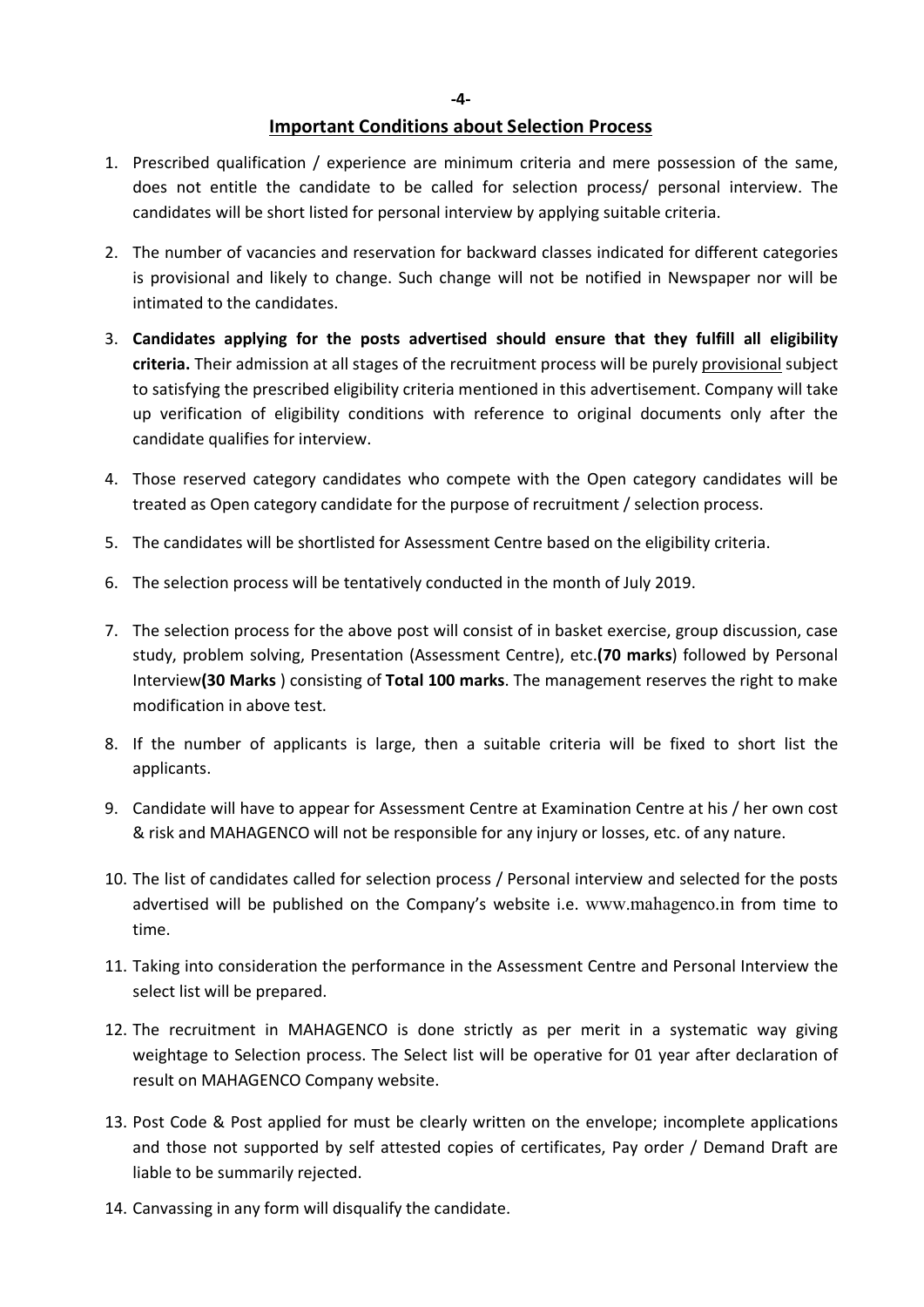-4-

#### Important Conditions about Selection Process

- 1. Prescribed qualification / experience are minimum criteria and mere possession of the same, does not entitle the candidate to be called for selection process/ personal interview. The candidates will be short listed for personal interview by applying suitable criteria.
- 2. The number of vacancies and reservation for backward classes indicated for different categories is provisional and likely to change. Such change will not be notified in Newspaper nor will be intimated to the candidates.
- 3. Candidates applying for the posts advertised should ensure that they fulfill all eligibility criteria. Their admission at all stages of the recruitment process will be purely provisional subject to satisfying the prescribed eligibility criteria mentioned in this advertisement. Company will take up verification of eligibility conditions with reference to original documents only after the candidate qualifies for interview.
- 4. Those reserved category candidates who compete with the Open category candidates will be treated as Open category candidate for the purpose of recruitment / selection process.
- 5. The candidates will be shortlisted for Assessment Centre based on the eligibility criteria.
- 6. The selection process will be tentatively conducted in the month of July 2019.
- 7. The selection process for the above post will consist of in basket exercise, group discussion, case study, problem solving, Presentation (Assessment Centre), etc.(70 marks) followed by Personal Interview(30 Marks ) consisting of Total 100 marks. The management reserves the right to make modification in above test.
- 8. If the number of applicants is large, then a suitable criteria will be fixed to short list the applicants.
- 9. Candidate will have to appear for Assessment Centre at Examination Centre at his / her own cost & risk and MAHAGENCO will not be responsible for any injury or losses, etc. of any nature.
- 10. The list of candidates called for selection process / Personal interview and selected for the posts advertised will be published on the Company's website i.e. www.mahagenco.in from time to time.
- 11. Taking into consideration the performance in the Assessment Centre and Personal Interview the select list will be prepared.
- 12. The recruitment in MAHAGENCO is done strictly as per merit in a systematic way giving weightage to Selection process. The Select list will be operative for 01 year after declaration of result on MAHAGENCO Company website.
- 13. Post Code & Post applied for must be clearly written on the envelope; incomplete applications and those not supported by self attested copies of certificates, Pay order / Demand Draft are liable to be summarily rejected.
- 14. Canvassing in any form will disqualify the candidate.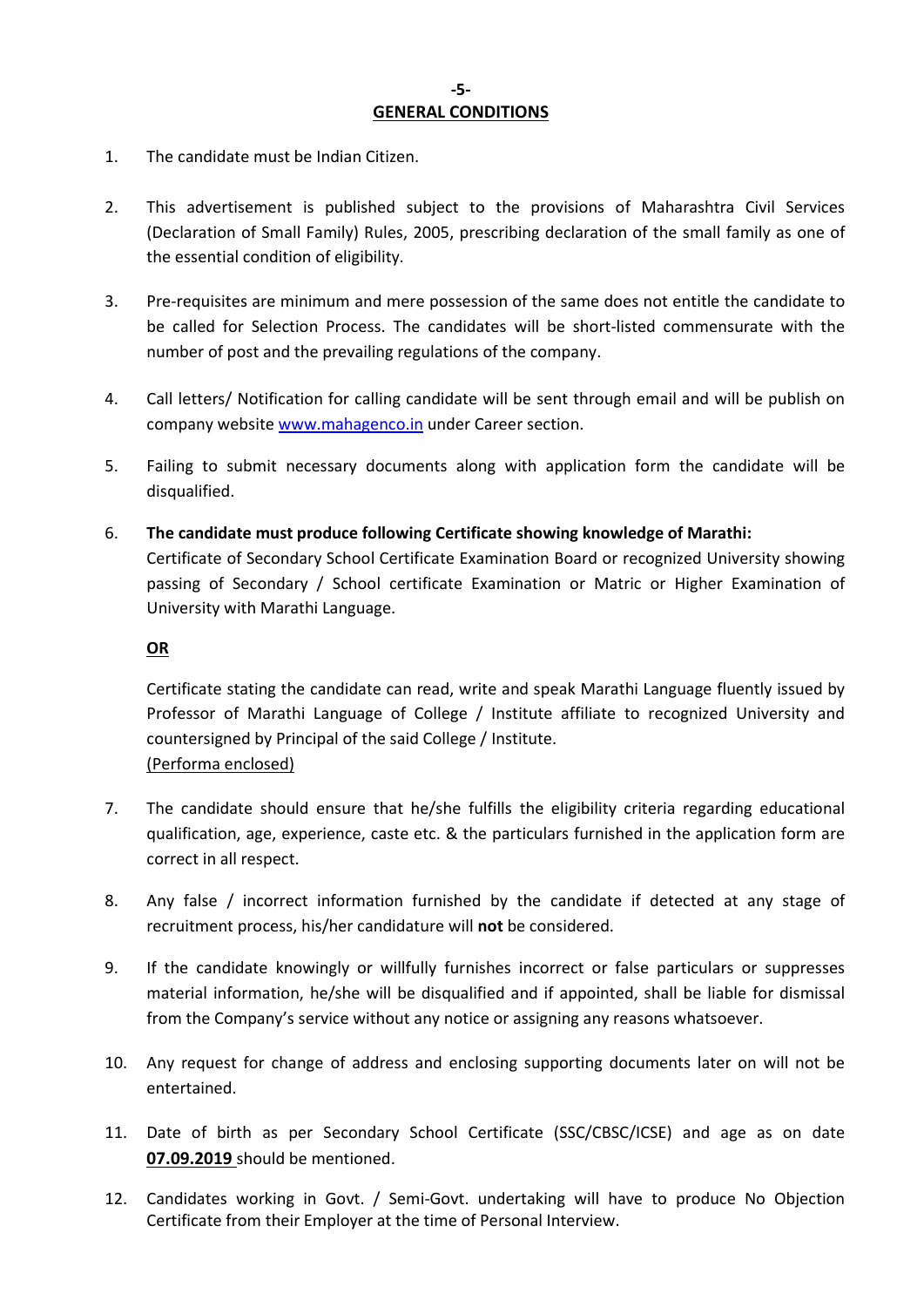- 1. The candidate must be Indian Citizen.
- 2. This advertisement is published subject to the provisions of Maharashtra Civil Services (Declaration of Small Family) Rules, 2005, prescribing declaration of the small family as one of the essential condition of eligibility.
- 3. Pre-requisites are minimum and mere possession of the same does not entitle the candidate to be called for Selection Process. The candidates will be short-listed commensurate with the number of post and the prevailing regulations of the company.
- 4. Call letters/ Notification for calling candidate will be sent through email and will be publish on company website www.mahagenco.in under Career section.
- 5. Failing to submit necessary documents along with application form the candidate will be disqualified.
- 6. The candidate must produce following Certificate showing knowledge of Marathi: Certificate of Secondary School Certificate Examination Board or recognized University showing passing of Secondary / School certificate Examination or Matric or Higher Examination of University with Marathi Language.

#### OR

Certificate stating the candidate can read, write and speak Marathi Language fluently issued by Professor of Marathi Language of College / Institute affiliate to recognized University and countersigned by Principal of the said College / Institute. (Performa enclosed)

- 7. The candidate should ensure that he/she fulfills the eligibility criteria regarding educational qualification, age, experience, caste etc. & the particulars furnished in the application form are correct in all respect.
- 8. Any false / incorrect information furnished by the candidate if detected at any stage of recruitment process, his/her candidature will not be considered.
- 9. If the candidate knowingly or willfully furnishes incorrect or false particulars or suppresses material information, he/she will be disqualified and if appointed, shall be liable for dismissal from the Company's service without any notice or assigning any reasons whatsoever.
- 10. Any request for change of address and enclosing supporting documents later on will not be entertained.
- 11. Date of birth as per Secondary School Certificate (SSC/CBSC/ICSE) and age as on date 07.09.2019 should be mentioned.
- 12. Candidates working in Govt. / Semi-Govt. undertaking will have to produce No Objection Certificate from their Employer at the time of Personal Interview.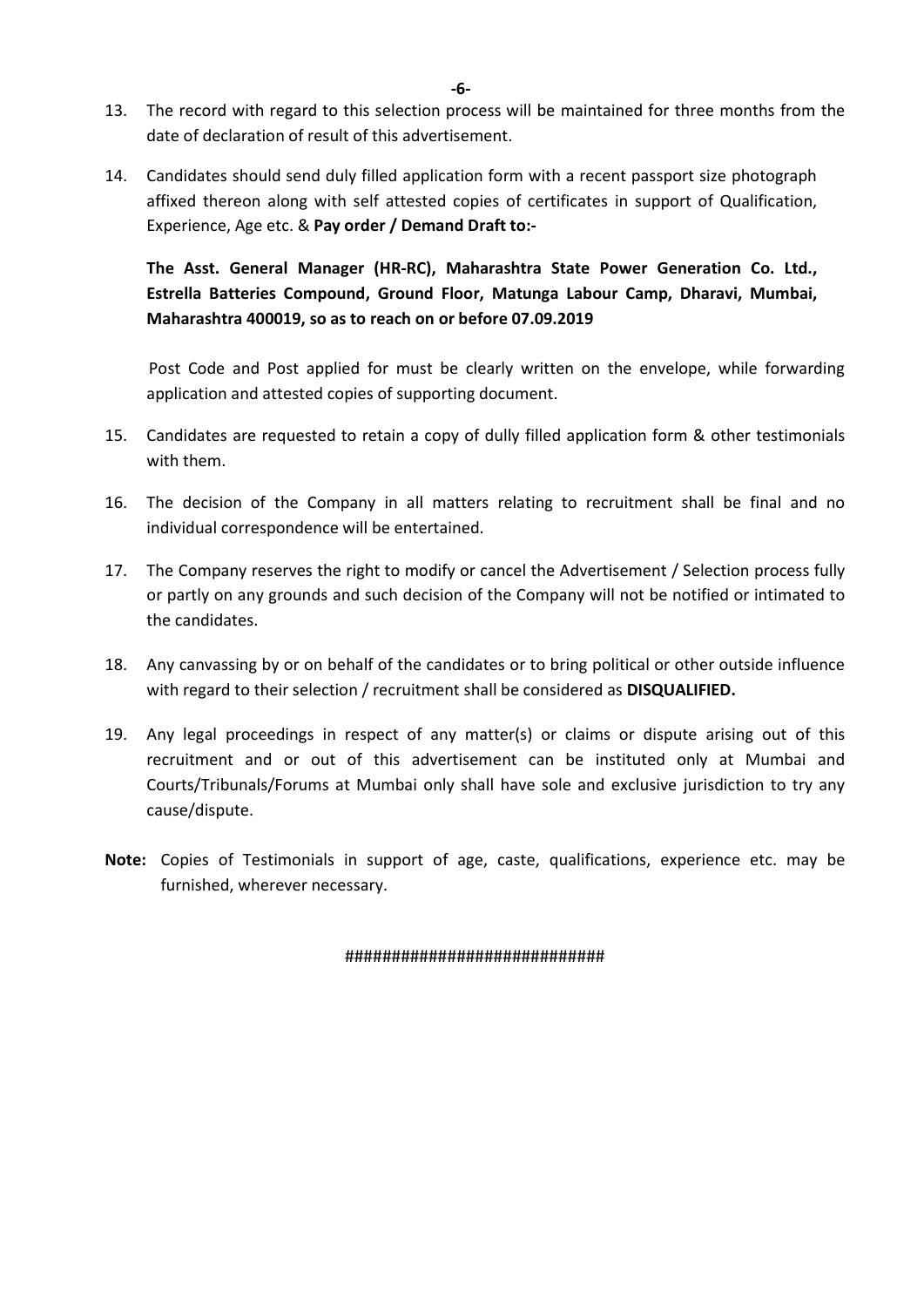- 13. The record with regard to this selection process will be maintained for three months from the date of declaration of result of this advertisement.
- 14. Candidates should send duly filled application form with a recent passport size photograph affixed thereon along with self attested copies of certificates in support of Qualification, Experience, Age etc. & Pay order / Demand Draft to:-

The Asst. General Manager (HR-RC), Maharashtra State Power Generation Co. Ltd., Estrella Batteries Compound, Ground Floor, Matunga Labour Camp, Dharavi, Mumbai, Maharashtra 400019, so as to reach on or before 07.09.2019

Post Code and Post applied for must be clearly written on the envelope, while forwarding application and attested copies of supporting document.

- 15. Candidates are requested to retain a copy of dully filled application form & other testimonials with them.
- 16. The decision of the Company in all matters relating to recruitment shall be final and no individual correspondence will be entertained.
- 17. The Company reserves the right to modify or cancel the Advertisement / Selection process fully or partly on any grounds and such decision of the Company will not be notified or intimated to the candidates.
- 18. Any canvassing by or on behalf of the candidates or to bring political or other outside influence with regard to their selection / recruitment shall be considered as **DISQUALIFIED.**
- 19. Any legal proceedings in respect of any matter(s) or claims or dispute arising out of this recruitment and or out of this advertisement can be instituted only at Mumbai and Courts/Tribunals/Forums at Mumbai only shall have sole and exclusive jurisdiction to try any cause/dispute.
- Note: Copies of Testimonials in support of age, caste, qualifications, experience etc. may be furnished, wherever necessary.

#### ############################